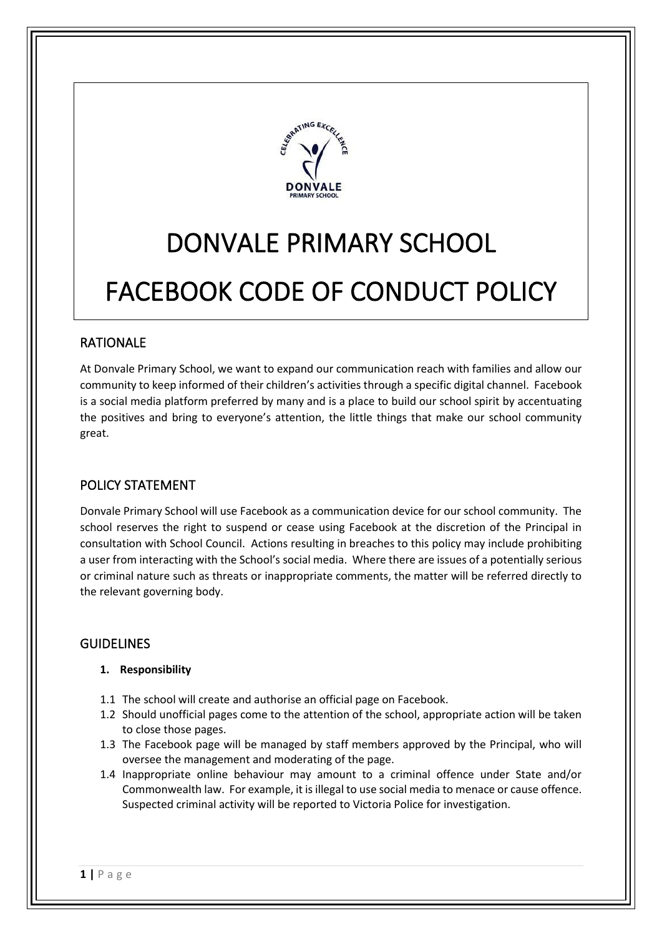

# DONVALE PRIMARY SCHOOL FACEBOOK CODE OF CONDUCT POLICY

## RATIONALE

At Donvale Primary School, we want to expand our communication reach with families and allow our community to keep informed of their children's activities through a specific digital channel. Facebook is a social media platform preferred by many and is a place to build our school spirit by accentuating the positives and bring to everyone's attention, the little things that make our school community great.

## POLICY STATEMENT

Donvale Primary School will use Facebook as a communication device for our school community. The school reserves the right to suspend or cease using Facebook at the discretion of the Principal in consultation with School Council. Actions resulting in breaches to this policy may include prohibiting a user from interacting with the School's social media. Where there are issues of a potentially serious or criminal nature such as threats or inappropriate comments, the matter will be referred directly to the relevant governing body.

## GUIDELINES

#### **1. Responsibility**

- 1.1 The school will create and authorise an official page on Facebook.
- 1.2 Should unofficial pages come to the attention of the school, appropriate action will be taken to close those pages.
- 1.3 The Facebook page will be managed by staff members approved by the Principal, who will oversee the management and moderating of the page.
- 1.4 Inappropriate online behaviour may amount to a criminal offence under State and/or Commonwealth law. For example, it is illegal to use social media to menace or cause offence. Suspected criminal activity will be reported to Victoria Police for investigation.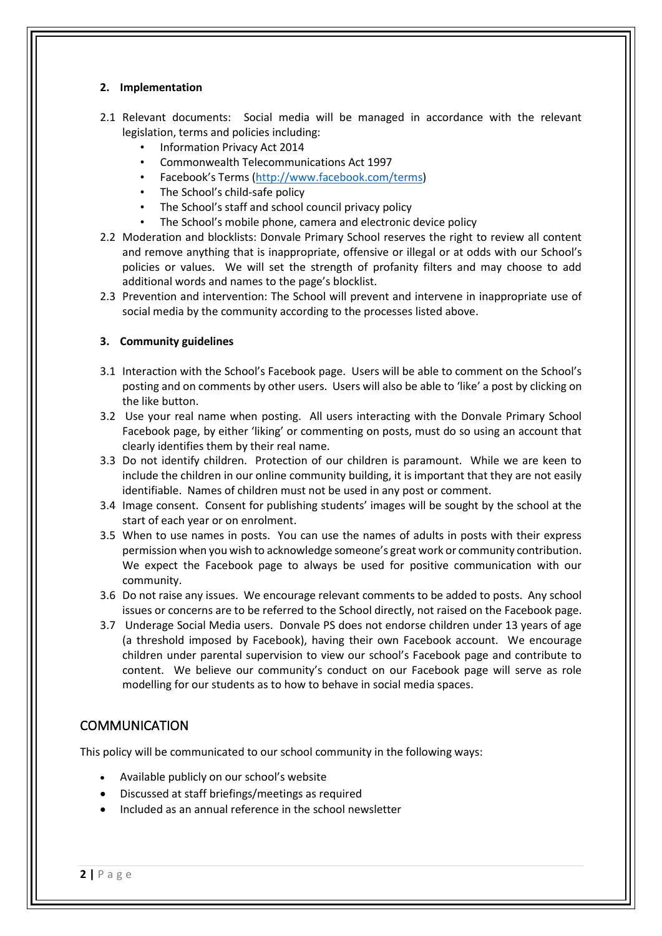#### **2. Implementation**

- 2.1 Relevant documents: Social media will be managed in accordance with the relevant legislation, terms and policies including:
	- Information Privacy Act 2014
	- Commonwealth Telecommunications Act 1997
	- Facebook's Terms ([http://www.facebook.com/terms\)](http://www.facebook.com/terms)
	- The School's child-safe policy
	- The School's staff and school council privacy policy
	- The School's mobile phone, camera and electronic device policy
- 2.2 Moderation and blocklists: Donvale Primary School reserves the right to review all content and remove anything that is inappropriate, offensive or illegal or at odds with our School's policies or values. We will set the strength of profanity filters and may choose to add additional words and names to the page's blocklist.
- 2.3 Prevention and intervention: The School will prevent and intervene in inappropriate use of social media by the community according to the processes listed above.

#### **3. Community guidelines**

- 3.1 Interaction with the School's Facebook page. Users will be able to comment on the School's posting and on comments by other users. Users will also be able to 'like' a post by clicking on the like button.
- 3.2 Use your real name when posting. All users interacting with the Donvale Primary School Facebook page, by either 'liking' or commenting on posts, must do so using an account that clearly identifies them by their real name.
- 3.3 Do not identify children. Protection of our children is paramount. While we are keen to include the children in our online community building, it is important that they are not easily identifiable. Names of children must not be used in any post or comment.
- 3.4 Image consent. Consent for publishing students' images will be sought by the school at the start of each year or on enrolment.
- 3.5 When to use names in posts. You can use the names of adults in posts with their express permission when you wish to acknowledge someone's great work or community contribution. We expect the Facebook page to always be used for positive communication with our community.
- 3.6 Do not raise any issues. We encourage relevant comments to be added to posts. Any school issues or concerns are to be referred to the School directly, not raised on the Facebook page.
- 3.7 Underage Social Media users. Donvale PS does not endorse children under 13 years of age (a threshold imposed by Facebook), having their own Facebook account. We encourage children under parental supervision to view our school's Facebook page and contribute to content. We believe our community's conduct on our Facebook page will serve as role modelling for our students as to how to behave in social media spaces.

## **COMMUNICATION**

This policy will be communicated to our school community in the following ways:

- Available publicly on our school's website
- Discussed at staff briefings/meetings as required
- Included as an annual reference in the school newsletter